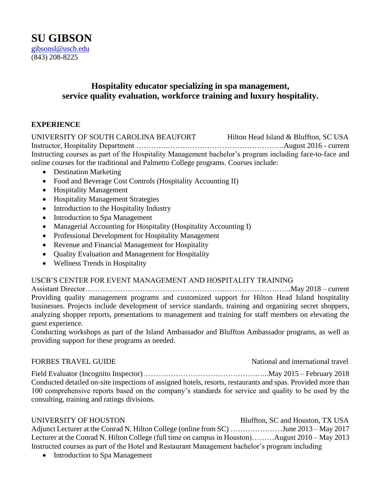# **Hospitality educator specializing in spa management, service quality evaluation, workforce training and luxury hospitality.**

# **EXPERIENCE**

UNIVERSITY OF SOUTH CAROLINA BEAUFORT Hilton Head Island & Bluffton, SC USA Instructor, Hospitality Department ………….…….………………………………….August 2016 - current Instructing courses as part of the Hospitality Management bachelor's program including face-to-face and online courses for the traditional and Palmetto College programs. Courses include:

- Destination Marketing
- Food and Beverage Cost Controls (Hospitality Accounting II)
- Hospitality Management
- Hospitality Management Strategies
- Introduction to the Hospitality Industry
- Introduction to Spa Management
- Managerial Accounting for Hospitality (Hospitality Accounting I)
- Professional Development for Hospitality Management
- Revenue and Financial Management for Hospitality
- Quality Evaluation and Management for Hospitality
- Wellness Trends in Hospitality

## USCB'S CENTER FOR EVENT MANAGEMENT AND HOSPITALITY TRAINING

Assistant Director………………………………………………………………………..May 2018 – current Providing quality management programs and customized support for Hilton Head Island hospitality businesses. Projects include development of service standards, training and organizing secret shoppers, analyzing shopper reports, presentations to management and training for staff members on elevating the guest experience.

Conducting workshops as part of the Island Ambassador and Bluffton Ambassador programs, as well as providing support for these programs as needed.

FORBES TRAVEL GUIDE **National and international travel** 

Field Evaluator (Incognito Inspector)……………………………………….…..May 2015 – February 2018 Conducted detailed on-site inspections of assigned hotels, resorts, restaurants and spas. Provided more than 100 comprehensive reports based on the company's standards for service and quality to be used by the consulting, training and ratings divisions.

#### UNIVERSITY OF HOUSTON Bluffton, SC and Houston, TX USA

Adjunct Lecturer at the Conrad N. Hilton College (online from SC) …………………June 2013 – May 2017 Lecturer at the Conrad N. Hilton College (full time on campus in Houston)………August 2010 – May 2013 Instructed courses as part of the Hotel and Restaurant Management bachelor's program including

• Introduction to Spa Management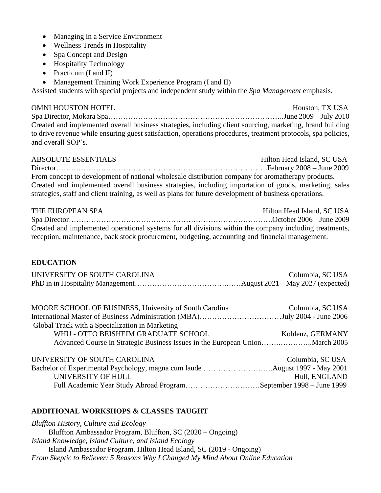- Managing in a Service Environment
- Wellness Trends in Hospitality
- Spa Concept and Design
- Hospitality Technology
- Practicum (I and II)
- Management Training Work Experience Program (I and II)

Assisted students with special projects and independent study within the *Spa Management* emphasis.

OMNI HOUSTON HOTEL **Houston, TX USA** Spa Director, Mokara Spa……………………………………………………………..June 2009 – July 2010 Created and implemented overall business strategies, including client sourcing, marketing, brand building to drive revenue while ensuring guest satisfaction, operations procedures, treatment protocols, spa policies, and overall SOP's.

ABSOLUTE ESSENTIALS Hilton Head Island, SC USA Director………………………………………………………………………….February 2008 – June 2009 From concept to development of national wholesale distribution company for aromatherapy products. Created and implemented overall business strategies, including importation of goods, marketing, sales strategies, staff and client training, as well as plans for future development of business operations.

| THE EUROPEAN SPA                                                                                       | Hilton Head Island, SC USA |
|--------------------------------------------------------------------------------------------------------|----------------------------|
|                                                                                                        |                            |
| Created and implemented operational systems for all divisions within the company including treatments, |                            |
| reception, maintenance, back stock procurement, budgeting, accounting and financial management.        |                            |

## **EDUCATION**

| UNIVERSITY OF SOUTH CAROLINA | Columbia, SC USA |
|------------------------------|------------------|
|                              |                  |

| MOORE SCHOOL OF BUSINESS, University of South Carolina | Columbia, SC USA |
|--------------------------------------------------------|------------------|
|                                                        |                  |
| Global Track with a Specialization in Marketing        |                  |
| WHU - OTTO BEISHEIM GRADUATE SCHOOL                    | Koblenz, GERMANY |
|                                                        |                  |
|                                                        |                  |

| UNIVERSITY OF SOUTH CAROLINA                                      | Columbia, SC USA |
|-------------------------------------------------------------------|------------------|
|                                                                   |                  |
| UNIVERSITY OF HULL                                                | Hull, ENGLAND    |
| Full Academic Year Study Abroad ProgramSeptember 1998 – June 1999 |                  |

## **ADDITIONAL WORKSHOPS & CLASSES TAUGHT**

*Bluffton History, Culture and Ecology* Bluffton Ambassador Program, Bluffton, SC (2020 – Ongoing) *Island Knowledge, Island Culture, and Island Ecology* Island Ambassador Program, Hilton Head Island, SC (2019 - Ongoing) *From Skeptic to Believer: 5 Reasons Why I Changed My Mind About Online Education*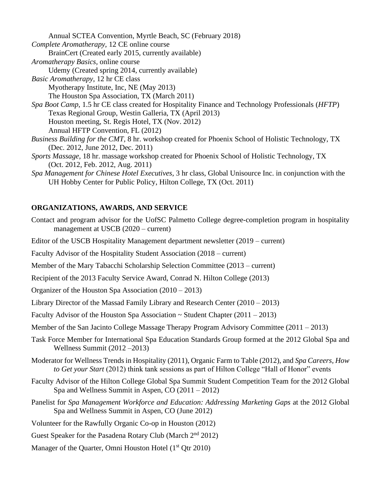Annual SCTEA Convention, Myrtle Beach, SC (February 2018) *Complete Aromatherapy,* 12 CE online course BrainCert (Created early 2015, currently available) *Aromatherapy Basics,* online course Udemy (Created spring 2014, currently available) *Basic Aromatherapy*, 12 hr CE class Myotherapy Institute, Inc, NE (May 2013) The Houston Spa Association, TX (March 2011) *Spa Boot Camp*, 1.5 hr CE class created for Hospitality Finance and Technology Professionals (*HFTP*) Texas Regional Group, Westin Galleria, TX (April 2013) Houston meeting, St. Regis Hotel, TX (Nov. 2012) Annual HFTP Convention, FL (2012) *Business Building for the CMT,* 8 hr. workshop created for Phoenix School of Holistic Technology, TX (Dec. 2012, June 2012, Dec. 2011) *Sports Massage,* 18 hr. massage workshop created for Phoenix School of Holistic Technology, TX (Oct. 2012, Feb. 2012, Aug. 2011) *Spa Management for Chinese Hotel Executives*, 3 hr class, Global Unisource Inc. in conjunction with the

# UH Hobby Center for Public Policy, Hilton College, TX (Oct. 2011)

# **ORGANIZATIONS, AWARDS, AND SERVICE**

- Contact and program advisor for the UofSC Palmetto College degree-completion program in hospitality management at USCB (2020 – current)
- Editor of the USCB Hospitality Management department newsletter (2019 current)
- Faculty Advisor of the Hospitality Student Association (2018 current)
- Member of the Mary Tabacchi Scholarship Selection Committee (2013 current)
- Recipient of the 2013 Faculty Service Award, Conrad N. Hilton College (2013)
- Organizer of the Houston Spa Association (2010 2013)
- Library Director of the Massad Family Library and Research Center (2010 2013)
- Faculty Advisor of the Houston Spa Association  $\sim$  Student Chapter (2011 2013)
- Member of the San Jacinto College Massage Therapy Program Advisory Committee (2011 2013)
- Task Force Member for International Spa Education Standards Group formed at the 2012 Global Spa and Wellness Summit (2012 –2013)
- Moderator for Wellness Trends in Hospitality (2011), Organic Farm to Table (2012), and *Spa Careers, How to Get your Start* (2012) think tank sessions as part of Hilton College "Hall of Honor" events
- Faculty Advisor of the Hilton College Global Spa Summit Student Competition Team for the 2012 Global Spa and Wellness Summit in Aspen, CO (2011 – 2012)
- Panelist for *Spa Management Workforce and Education: Addressing Marketing Gaps* at the 2012 Global Spa and Wellness Summit in Aspen, CO (June 2012)
- Volunteer for the Rawfully Organic Co-op in Houston (2012)
- Guest Speaker for the Pasadena Rotary Club (March 2<sup>nd</sup> 2012)
- Manager of the Quarter, Omni Houston Hotel (1<sup>st</sup> Qtr 2010)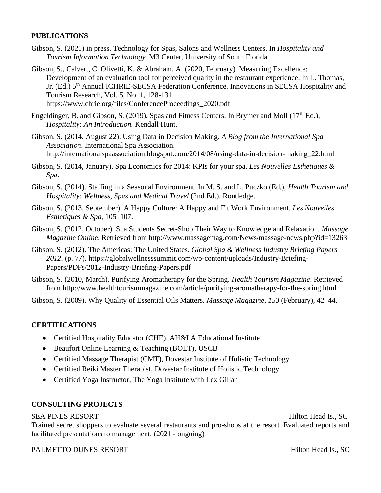# **PUBLICATIONS**

- Gibson, S. (2021) in press. Technology for Spas, Salons and Wellness Centers. In *Hospitality and Tourism Information Technology*. M3 Center, University of South Florida
- Gibson, S., Calvert, C. Olivetti, K. & Abraham, A. (2020, February). Measuring Excellence: Development of an evaluation tool for perceived quality in the restaurant experience. In L. Thomas, Jr. (Ed.) 5<sup>th</sup> Annual ICHRIE-SECSA Federation Conference. Innovations in SECSA Hospitality and Tourism Research, Vol. 5, No. 1, 128-131 https://www.chrie.org/files/ConferenceProceedings\_2020.pdf
- Engeldinger, B. and Gibson, S. (2019). Spas and Fitness Centers. In Brymer and Moll ( $17<sup>th</sup>$  Ed.), *Hospitality: An Introduction.* Kendall Hunt.
- Gibson, S. (2014, August 22). Using Data in Decision Making. *A Blog from the International Spa Association*. International Spa Association. http://internationalspaassociation.blogspot.com/2014/08/using-data-in-decision-making\_22.html
- Gibson, S. (2014, January). Spa Economics for 2014: KPIs for your spa. *Les Nouvelles Esthetiques & Spa*.
- Gibson, S. (2014). Staffing in a Seasonal Environment. In M. S. and L. Puczko (Ed.), *Health Tourism and Hospitality: Wellness, Spas and Medical Travel* (2nd Ed.). Routledge.
- Gibson, S. (2013, September). A Happy Culture: A Happy and Fit Work Environment. *Les Nouvelles Esthetiques & Spa*, 105–107.
- Gibson, S. (2012, October). Spa Students Secret-Shop Their Way to Knowledge and Relaxation. *Massage Magazine Online*. Retrieved from http://www.massagemag.com/News/massage-news.php?id=13263
- Gibson, S. (2012). The Americas: The United States. *Global Spa & Wellness Industry Briefing Papers 2012*. (p. 77). https://globalwellnesssummit.com/wp-content/uploads/Industry-Briefing-Papers/PDFs/2012-Industry-Briefing-Papers.pdf
- Gibson, S. (2010, March). Purifying Aromatherapy for the Spring. *Health Tourism Magazine*. Retrieved from http://www.healthtourismmagazine.com/article/purifying-aromatherapy-for-the-spring.html

Gibson, S. (2009). Why Quality of Essential Oils Matters. *Massage Magazine*, *153* (February), 42–44.

## **CERTIFICATIONS**

- Certified Hospitality Educator (CHE), AH&LA Educational Institute
- Beaufort Online Learning & Teaching (BOLT), USCB
- Certified Massage Therapist (CMT), Dovestar Institute of Holistic Technology
- Certified Reiki Master Therapist, Dovestar Institute of Holistic Technology
- Certified Yoga Instructor, The Yoga Institute with Lex Gillan

## **CONSULTING PROJECTS**

## SEA PINES RESORT FOR THE SEA PINES RESORT

Trained secret shoppers to evaluate several restaurants and pro-shops at the resort. Evaluated reports and facilitated presentations to management. (2021 - ongoing)

#### PALMETTO DUNES RESORT **Hilton Head Is., SC**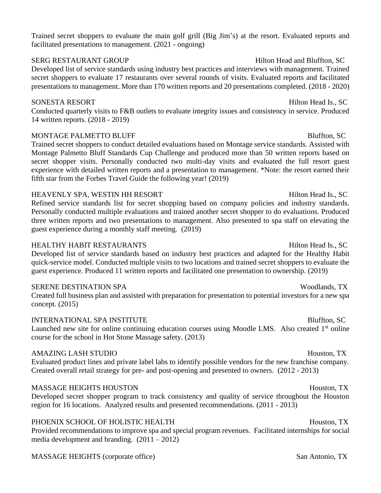Trained secret shoppers to evaluate the main golf grill (Big Jim's) at the resort. Evaluated reports and facilitated presentations to management. (2021 - ongoing)

#### SERG RESTAURANT GROUP Hilton Head and Bluffton, SC

Developed list of service standards using industry best practices and interviews with management. Trained secret shoppers to evaluate 17 restaurants over several rounds of visits. Evaluated reports and facilitated presentations to management. More than 170 written reports and 20 presentations completed. (2018 - 2020)

## SONESTA RESORT Hilton Head Is., SC

Conducted quarterly visits to F&B outlets to evaluate integrity issues and consistency in service. Produced 14 written reports. (2018 - 2019)

# MONTAGE PALMETTO BLUFF BLUES AND SEXUAL BLUES BLUES BLUES BLUES BLUES BLUES BLUES BLUES BLUES BLUES BLUES BLUES

Trained secret shoppers to conduct detailed evaluations based on Montage service standards. Assisted with Montage Palmetto Bluff Standards Cup Challenge and produced more than 50 written reports based on secret shopper visits. Personally conducted two multi-day visits and evaluated the full resort guest experience with detailed written reports and a presentation to management. \*Note: the resort earned their fifth star from the Forbes Travel Guide the following year! (2019)

# HEAVENLY SPA, WESTIN HH RESORT Hilton Head Is., SC

Refined service standards list for secret shopping based on company policies and industry standards. Personally conducted multiple evaluations and trained another secret shopper to do evaluations. Produced three written reports and two presentations to management. Also presented to spa staff on elevating the guest experience during a monthly staff meeting. (2019)

# HEALTHY HABIT RESTAURANTS Hilton Head Is., SC

Developed list of service standards based on industry best practices and adapted for the Healthy Habit quick-service model. Conducted multiple visits to two locations and trained secret shoppers to evaluate the guest experience. Produced 11 written reports and facilitated one presentation to ownership. (2019)

## SERENE DESTINATION SPA WOOD WOOD AND SERENE DESTINATION SPA

Created full business plan and assisted with preparation for presentation to potential investors for a new spa concept. (2015)

# INTERNATIONAL SPA INSTITUTE SERVICE SERVICE SERVICE SERVICE SERVICE SERVICE SERVICE SERVICE SERVICE SERVICE SE

Launched new site for online continuing education courses using Moodle LMS. Also created 1<sup>st</sup> online course for the school in Hot Stone Massage safety. (2013)

## AMAZING LASH STUDIO **Houston, TX**

Evaluated product lines and private label labs to identify possible vendors for the new franchise company. Created overall retail strategy for pre- and post-opening and presented to owners. (2012 - 2013)

# MASSAGE HEIGHTS HOUSTON Houston, TX

Developed secret shopper program to track consistency and quality of service throughout the Houston region for 16 locations. Analyzed results and presented recommendations. (2011 - 2013)

# PHOENIX SCHOOL OF HOLISTIC HEALTH **Houston, TX** Houston, TX

Provided recommendations to improve spa and special program revenues. Facilitated internships for social media development and branding.  $(2011 – 2012)$ 

# MASSAGE HEIGHTS (corporate office) San Antonio, TX